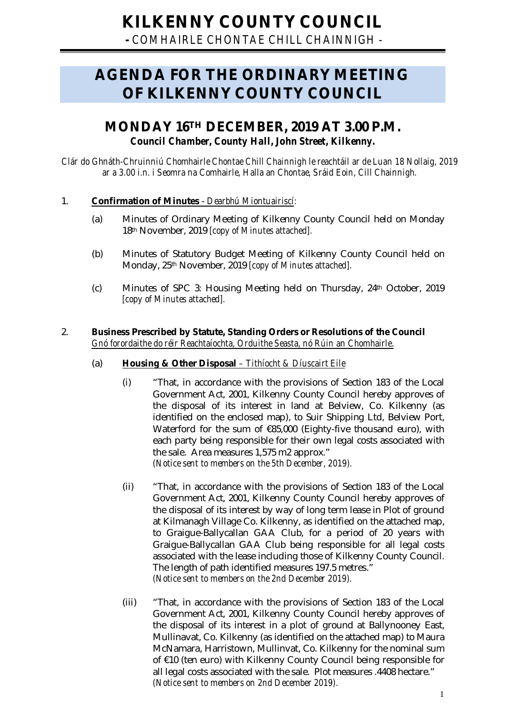**-** *COMHAIRLE CHONTAE CHILL CHAINNIGH -*

# **AGENDA FOR THE ORDINARY MEETING OF KILKENNY COUNTY COUNCIL**

## **MONDAY 16TH DECEMBER, 2019 AT 3.00 P.M.** *Council Chamber, County Hall, John Street, Kilkenny.*

*Clár do Ghnáth-Chruinniú Chomhairle Chontae Chill Chainnigh le reachtáil ar de Luan 18 Nollaig, 2019 ar a 3.00 i.n. i Seomra na Comhairle, Halla an Chontae, Sráid Eoin, Cill Chainnigh.*

### 1. **Confirmation of Minutes** - *Dearbhú Miontuairiscí:*

- (a) Minutes of Ordinary Meeting of Kilkenny County Council held on Monday 18th November, 2019 *[copy of Minutes attached].*
- (b) Minutes of Statutory Budget Meeting of Kilkenny County Council held on Monday, 25th November, 2019 *[copy of Minutes attached].*
- (c) Minutes of SPC 3: Housing Meeting held on Thursday, 24th October, 2019 *[copy of Minutes attached].*

#### 2. **Business Prescribed by Statute, Standing Orders or Resolutions of the Council** *Gnó forordaithe do réir Reachtaíochta, Orduithe Seasta, nó Rúin an Chomhairle*.

## (a) **Housing & Other Disposal** *– Tithíocht & Díuscairt Eile*

- (i) "That, in accordance with the provisions of Section 183 of the Local Government Act, 2001, Kilkenny County Council hereby approves of the disposal of its interest in land at Belview, Co. Kilkenny (as identified on the enclosed map), to Suir Shipping Ltd, Belview Port, Waterford for the sum of €85,000 (Eighty-five thousand euro), with each party being responsible for their own legal costs associated with the sale. Area measures 1,575 m2 approx." *(Notice sent to members on the 5th December, 2019).*
- (ii) "That, in accordance with the provisions of Section 183 of the Local Government Act, 2001, Kilkenny County Council hereby approves of the disposal of its interest by way of long term lease in Plot of ground at Kilmanagh Village Co. Kilkenny, as identified on the attached map, to Graigue-Ballycallan GAA Club, for a period of 20 years with Graigue-Ballycallan GAA Club being responsible for all legal costs associated with the lease including those of Kilkenny County Council. The length of path identified measures 197.5 metres." *(Notice sent to members on the 2nd December 2019).*
- (iii) "That, in accordance with the provisions of Section 183 of the Local Government Act, 2001, Kilkenny County Council hereby approves of the disposal of its interest in a plot of ground at Ballynooney East, Mullinavat, Co. Kilkenny (as identified on the attached map) to Maura McNamara, Harristown, Mullinvat, Co. Kilkenny for the nominal sum of €10 (ten euro) with Kilkenny County Council being responsible for all legal costs associated with the sale. Plot measures .4408 hectare." *(Notice sent to members on 2nd December 2019).*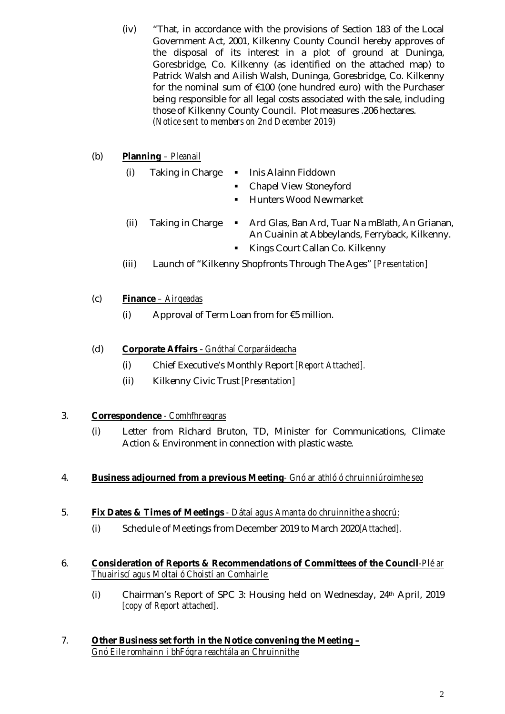(iv) "That, in accordance with the provisions of Section 183 of the Local Government Act, 2001, Kilkenny County Council hereby approves of the disposal of its interest in a plot of ground at Duninga, Goresbridge, Co. Kilkenny (as identified on the attached map) to Patrick Walsh and Ailish Walsh, Duninga, Goresbridge, Co. Kilkenny for the nominal sum of €100 (one hundred euro) with the Purchaser being responsible for all legal costs associated with the sale, including those of Kilkenny County Council. Plot measures .206 hectares. *(Notice sent to members on 2nd December 2019)*

## (b) **Planning** *– Pleanail*

- (i) Taking in Charge Inis Alainn Fiddown
	- Chapel View Stoneyford
	- **Hunters Wood Newmarket**
- (ii) Taking in Charge Ard Glas, Ban Ard, Tuar Na mBlath, An Grianan, An Cuainin at Abbeylands, Ferryback, Kilkenny.
	- Kings Court Callan Co. Kilkenny
- (iii) Launch of "Kilkenny Shopfronts Through The Ages" *[Presentation]*

## (c) **Finance** *– Airgeadas*

(i) Approval of Term Loan from for  $\epsilon$ 5 million.

## (d) **Corporate Affairs** - *Gnóthaí Corparáideacha*

- (i) Chief Executive's Monthly Report *[Report Attached].*
- (ii) Kilkenny Civic Trust *[Presentation]*

## 3. **Correspondence** *- Comhfhreagras*

(i) Letter from Richard Bruton, TD, Minister for Communications, Climate Action & Environment in connection with plastic waste.

## 4. **Business adjourned from a previous Meeting***- Gnó ar athló ó chruinniúroimhe seo*

## 5. **Fix Dates & Times of Meetings** *- Dátaí agus Amanta do chruinnithe a shocrú:*

- (i) Schedule of Meetings from December 2019 to March 2020*[Attached].*
- 6. **Consideration of Reports & Recommendations of Committees of the Council***-Plé ar Thuairiscí agus Moltaí ó Choistí an Comhairle:* 
	- (i) Chairman's Report of SPC 3: Housing held on Wednesday, 24th April, 2019 *[copy of Report attached].*

#### 7. **Other Business set forth in the Notice convening the Meeting –** *Gnó Eile romhainn i bhFógra reachtála an Chruinnithe*